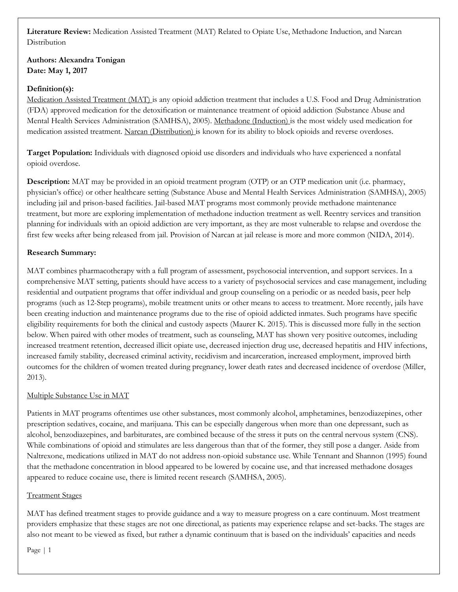# **Literature Review:** Medication Assisted Treatment (MAT) Related to Opiate Use, Methadone Induction, and Narcan **Distribution**

# **Authors: Alexandra Tonigan Date: May 1, 2017**

## **Definition(s):**

Medication Assisted Treatment (MAT) is any opioid addiction treatment that includes a U.S. Food and Drug Administration (FDA) approved medication for the detoxification or maintenance treatment of opioid addiction (Substance Abuse and Mental Health Services Administration (SAMHSA), 2005). Methadone (Induction) is the most widely used medication for medication assisted treatment. Narcan (Distribution) is known for its ability to block opioids and reverse overdoses.

**Target Population:** Individuals with diagnosed opioid use disorders and individuals who have experienced a nonfatal opioid overdose.

**Description:** MAT may be provided in an opioid treatment program (OTP) or an OTP medication unit (i.e. pharmacy, physician's office) or other healthcare setting (Substance Abuse and Mental Health Services Administration (SAMHSA), 2005) including jail and prison-based facilities. Jail-based MAT programs most commonly provide methadone maintenance treatment, but more are exploring implementation of methadone induction treatment as well. Reentry services and transition planning for individuals with an opioid addiction are very important, as they are most vulnerable to relapse and overdose the first few weeks after being released from jail. Provision of Narcan at jail release is more and more common (NIDA, 2014).

## **Research Summary:**

MAT combines pharmacotherapy with a full program of assessment, psychosocial intervention, and support services. In a comprehensive MAT setting, patients should have access to a variety of psychosocial services and case management, including residential and outpatient programs that offer individual and group counseling on a periodic or as needed basis, peer help programs (such as 12-Step programs), mobile treatment units or other means to access to treatment. More recently, jails have been creating induction and maintenance programs due to the rise of opioid addicted inmates. Such programs have specific eligibility requirements for both the clinical and custody aspects (Maurer K. 2015). This is discussed more fully in the section below. When paired with other modes of treatment, such as counseling, MAT has shown very positive outcomes, including increased treatment retention, decreased illicit opiate use, decreased injection drug use, decreased hepatitis and HIV infections, increased family stability, decreased criminal activity, recidivism and incarceration, increased employment, improved birth outcomes for the children of women treated during pregnancy, lower death rates and decreased incidence of overdose (Miller, 2013).

## Multiple Substance Use in MAT

Patients in MAT programs oftentimes use other substances, most commonly alcohol, amphetamines, benzodiazepines, other prescription sedatives, cocaine, and marijuana. This can be especially dangerous when more than one depressant, such as alcohol, benzodiazepines, and barbiturates, are combined because of the stress it puts on the central nervous system (CNS). While combinations of opioid and stimulates are less dangerous than that of the former, they still pose a danger. Aside from Naltrexone, medications utilized in MAT do not address non-opioid substance use. While Tennant and Shannon (1995) found that the methadone concentration in blood appeared to be lowered by cocaine use, and that increased methadone dosages appeared to reduce cocaine use, there is limited recent research (SAMHSA, 2005).

## Treatment Stages

MAT has defined treatment stages to provide guidance and a way to measure progress on a care continuum. Most treatment providers emphasize that these stages are not one directional, as patients may experience relapse and set-backs. The stages are also not meant to be viewed as fixed, but rather a dynamic continuum that is based on the individuals' capacities and needs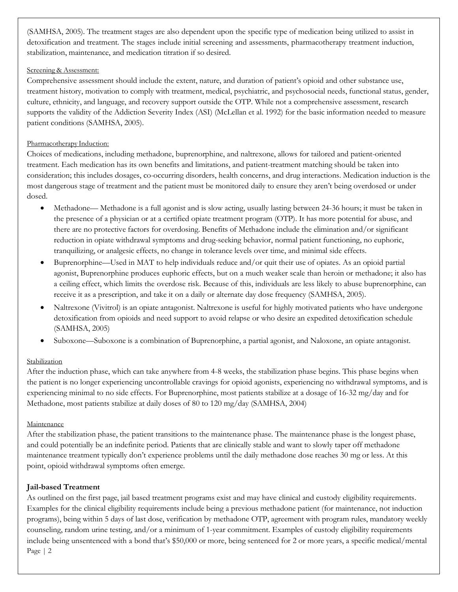(SAMHSA, 2005). The treatment stages are also dependent upon the specific type of medication being utilized to assist in detoxification and treatment. The stages include initial screening and assessments, pharmacotherapy treatment induction, stabilization, maintenance, and medication titration if so desired.

#### Screening & Assessment:

Comprehensive assessment should include the extent, nature, and duration of patient's opioid and other substance use, treatment history, motivation to comply with treatment, medical, psychiatric, and psychosocial needs, functional status, gender, culture, ethnicity, and language, and recovery support outside the OTP. While not a comprehensive assessment, research supports the validity of the Addiction Severity Index (ASI) (McLellan et al. 1992) for the basic information needed to measure patient conditions (SAMHSA, 2005).

### Pharmacotherapy Induction:

Choices of medications, including methadone, buprenorphine, and naltrexone, allows for tailored and patient-oriented treatment. Each medication has its own benefits and limitations, and patient-treatment matching should be taken into consideration; this includes dosages, co-occurring disorders, health concerns, and drug interactions. Medication induction is the most dangerous stage of treatment and the patient must be monitored daily to ensure they aren't being overdosed or under dosed.

- Methadone— Methadone is a full agonist and is slow acting, usually lasting between 24-36 hours; it must be taken in the presence of a physician or at a certified opiate treatment program (OTP). It has more potential for abuse, and there are no protective factors for overdosing. Benefits of Methadone include the elimination and/or significant reduction in opiate withdrawal symptoms and drug-seeking behavior, normal patient functioning, no euphoric, tranquilizing, or analgesic effects, no change in tolerance levels over time, and minimal side effects.
- Buprenorphine—Used in MAT to help individuals reduce and/or quit their use of opiates. As an opioid partial agonist, Buprenorphine produces euphoric effects, but on a much weaker scale than heroin or methadone; it also has a ceiling effect, which limits the overdose risk. Because of this, individuals are less likely to abuse buprenorphine, can receive it as a prescription, and take it on a daily or alternate day dose frequency (SAMHSA, 2005).
- Naltrexone (Vivitrol) is an opiate antagonist. Naltrexone is useful for highly motivated patients who have undergone detoxification from opioids and need support to avoid relapse or who desire an expedited detoxification schedule (SAMHSA, 2005)
- Suboxone—Suboxone is a combination of Buprenorphine, a partial agonist, and Naloxone, an opiate antagonist.

## Stabilization

After the induction phase, which can take anywhere from 4-8 weeks, the stabilization phase begins. This phase begins when the patient is no longer experiencing uncontrollable cravings for opioid agonists, experiencing no withdrawal symptoms, and is experiencing minimal to no side effects. For Buprenorphine, most patients stabilize at a dosage of 16-32 mg/day and for Methadone, most patients stabilize at daily doses of 80 to 120 mg/day (SAMHSA, 2004)

## Maintenance

After the stabilization phase, the patient transitions to the maintenance phase. The maintenance phase is the longest phase, and could potentially be an indefinite period. Patients that are clinically stable and want to slowly taper off methadone maintenance treatment typically don't experience problems until the daily methadone dose reaches 30 mg or less. At this point, opioid withdrawal symptoms often emerge.

## **Jail-based Treatment**

As outlined on the first page, jail based treatment programs exist and may have clinical and custody eligibility requirements. Examples for the clinical eligibility requirements include being a previous methadone patient (for maintenance, not induction programs), being within 5 days of last dose, verification by methadone OTP, agreement with program rules, mandatory weekly counseling, random urine testing, and/or a minimum of 1-year commitment. Examples of custody eligibility requirements include being unsentenced with a bond that's \$50,000 or more, being sentenced for 2 or more years, a specific medical/mental Page | 2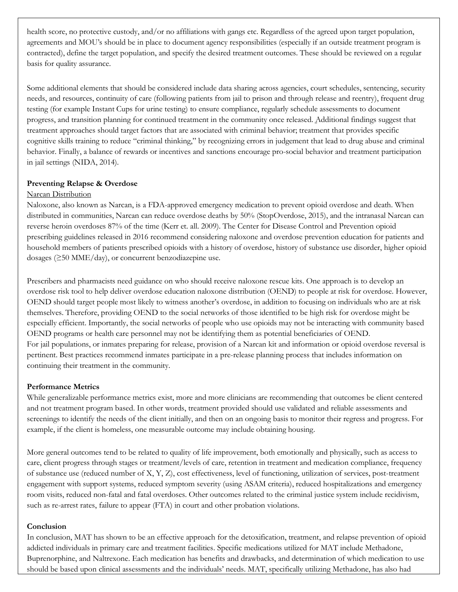health score, no protective custody, and/or no affiliations with gangs etc. Regardless of the agreed upon target population, agreements and MOU's should be in place to document agency responsibilities (especially if an outside treatment program is contracted), define the target population, and specify the desired treatment outcomes. These should be reviewed on a regular basis for quality assurance.

Some additional elements that should be considered include data sharing across agencies, court schedules, sentencing, security needs, and resources, continuity of care (following patients from jail to prison and through release and reentry), frequent drug testing (for example Instant Cups for urine testing) to ensure compliance, regularly schedule assessments to document progress, and transition planning for continued treatment in the community once released. Additional findings suggest that treatment approaches should target factors that are associated with criminal behavior; treatment that provides specific cognitive skills training to reduce "criminal thinking," by recognizing errors in judgement that lead to drug abuse and criminal behavior. Finally, a balance of rewards or incentives and sanctions encourage pro-social behavior and treatment participation in jail settings (NIDA, 2014).

#### **Preventing Relapse & Overdose**

#### Narcan Distribution

Naloxone, also known as Narcan, is a FDA-approved emergency medication to prevent opioid overdose and death. When distributed in communities, Narcan can reduce overdose deaths by 50% (StopOverdose, 2015), and the intranasal Narcan can reverse heroin overdoses 87% of the time (Kerr et. all. 2009). The Center for Disease Control and Prevention opioid prescribing guidelines released in 2016 recommend considering naloxone and overdose prevention education for patients and household members of patients prescribed opioids with a history of overdose, history of substance use disorder, higher opioid dosages (≥50 MME/day), or concurrent benzodiazepine use.

Prescribers and pharmacists need guidance on who should receive naloxone rescue kits. One approach is to develop an overdose risk tool to help deliver overdose education naloxone distribution (OEND) to people at risk for overdose. However, OEND should target people most likely to witness another's overdose, in addition to focusing on individuals who are at risk themselves. Therefore, providing OEND to the social networks of those identified to be high risk for overdose might be especially efficient. Importantly, the social networks of people who use opioids may not be interacting with community based OEND programs or health care personnel may not be identifying them as potential beneficiaries of OEND. For jail populations, or inmates preparing for release, provision of a Narcan kit and information or opioid overdose reversal is pertinent. Best practices recommend inmates participate in a pre-release planning process that includes information on continuing their treatment in the community.

#### **Performance Metrics**

While generalizable performance metrics exist, more and more clinicians are recommending that outcomes be client centered and not treatment program based. In other words, treatment provided should use validated and reliable assessments and screenings to identify the needs of the client initially, and then on an ongoing basis to monitor their regress and progress. For example, if the client is homeless, one measurable outcome may include obtaining housing.

More general outcomes tend to be related to quality of life improvement, both emotionally and physically, such as access to care, client progress through stages or treatment/levels of care, retention in treatment and medication compliance, frequency of substance use (reduced number of X, Y, Z), cost effectiveness, level of functioning, utilization of services, post-treatment engagement with support systems, reduced symptom severity (using ASAM criteria), reduced hospitalizations and emergency room visits, reduced non-fatal and fatal overdoses. Other outcomes related to the criminal justice system include recidivism, such as re-arrest rates, failure to appear (FTA) in court and other probation violations.

#### **Conclusion**

In conclusion, MAT has shown to be an effective approach for the detoxification, treatment, and relapse prevention of opioid addicted individuals in primary care and treatment facilities. Specific medications utilized for MAT include Methadone, Buprenorphine, and Naltrexone. Each medication has benefits and drawbacks, and determination of which medication to use should be based upon clinical assessments and the individuals' needs. MAT, specifically utilizing Methadone, has also had